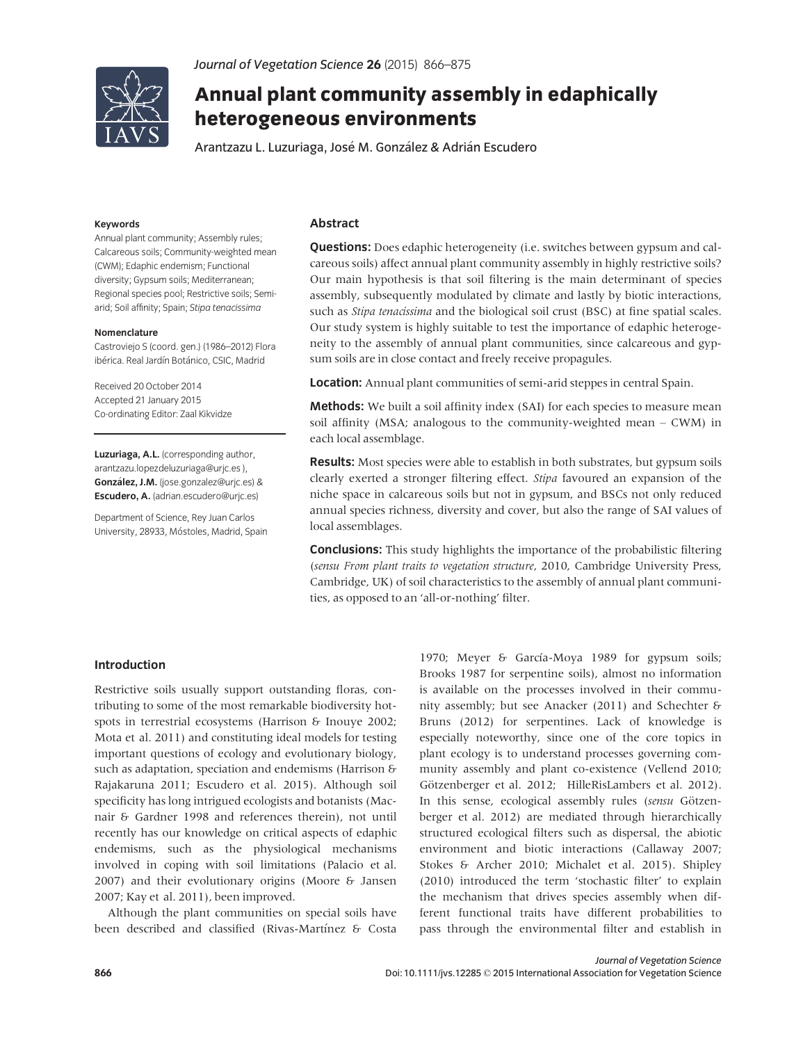

# Annual plant community assembly in edaphically heterogeneous environments

Arantzazu L. Luzuriaga, José M. González & Adrián Escudero

#### Keywords

Annual plant community; Assembly rules; Calcareous soils; Community-weighted mean (CWM); Edaphic endemism; Functional diversity; Gypsum soils; Mediterranean; Regional species pool; Restrictive soils; Semiarid; Soil affinity; Spain; Stipa tenacissima

#### Nomenclature

Castroviejo S (coord. gen.) (1986–2012) Flora ibérica. Real Jardín Botánico, CSIC, Madrid

Received 20 October 2014 Accepted 21 January 2015 Co-ordinating Editor: Zaal Kikvidze

Luzuriaga, A.L. (corresponding author, arantzazu.lopezdeluzuriaga@urjc.es ), Gonzalez, J.M. (jose.gonzalez@urjc.es) & Escudero, A. (adrian.escudero@urjc.es)

Department of Science, Rey Juan Carlos University, 28933, Móstoles, Madrid, Spain

## Abstract

Questions: Does edaphic heterogeneity (i.e. switches between gypsum and calcareous soils) affect annual plant community assembly in highly restrictive soils? Our main hypothesis is that soil filtering is the main determinant of species assembly, subsequently modulated by climate and lastly by biotic interactions, such as Stipa tenacissima and the biological soil crust (BSC) at fine spatial scales. Our study system is highly suitable to test the importance of edaphic heterogeneity to the assembly of annual plant communities, since calcareous and gypsum soils are in close contact and freely receive propagules.

Location: Annual plant communities of semi-arid steppes in central Spain.

**Methods:** We built a soil affinity index (SAI) for each species to measure mean soil affinity (MSA; analogous to the community-weighted mean – CWM) in each local assemblage.

Results: Most species were able to establish in both substrates, but gypsum soils clearly exerted a stronger filtering effect. Stipa favoured an expansion of the niche space in calcareous soils but not in gypsum, and BSCs not only reduced annual species richness, diversity and cover, but also the range of SAI values of local assemblages.

Conclusions: This study highlights the importance of the probabilistic filtering (sensu From plant traits to vegetation structure, 2010, Cambridge University Press, Cambridge, UK) of soil characteristics to the assembly of annual plant communities, as opposed to an 'all-or-nothing' filter.

# Introduction

Restrictive soils usually support outstanding floras, contributing to some of the most remarkable biodiversity hotspots in terrestrial ecosystems (Harrison & Inouye 2002; Mota et al. 2011) and constituting ideal models for testing important questions of ecology and evolutionary biology, such as adaptation, speciation and endemisms (Harrison & Rajakaruna 2011; Escudero et al. 2015). Although soil specificity has long intrigued ecologists and botanists (Macnair & Gardner 1998 and references therein), not until recently has our knowledge on critical aspects of edaphic endemisms, such as the physiological mechanisms involved in coping with soil limitations (Palacio et al. 2007) and their evolutionary origins (Moore & Jansen 2007; Kay et al. 2011), been improved.

Although the plant communities on special soils have been described and classified (Rivas-Martínez & Costa

1970; Meyer & García-Moya 1989 for gypsum soils; Brooks 1987 for serpentine soils), almost no information is available on the processes involved in their community assembly; but see Anacker (2011) and Schechter & Bruns (2012) for serpentines. Lack of knowledge is especially noteworthy, since one of the core topics in plant ecology is to understand processes governing community assembly and plant co-existence (Vellend 2010; Götzenberger et al. 2012; HilleRisLambers et al. 2012). In this sense, ecological assembly rules (sensu Götzenberger et al. 2012) are mediated through hierarchically structured ecological filters such as dispersal, the abiotic environment and biotic interactions (Callaway 2007; Stokes & Archer 2010; Michalet et al. 2015). Shipley (2010) introduced the term 'stochastic filter' to explain the mechanism that drives species assembly when different functional traits have different probabilities to pass through the environmental filter and establish in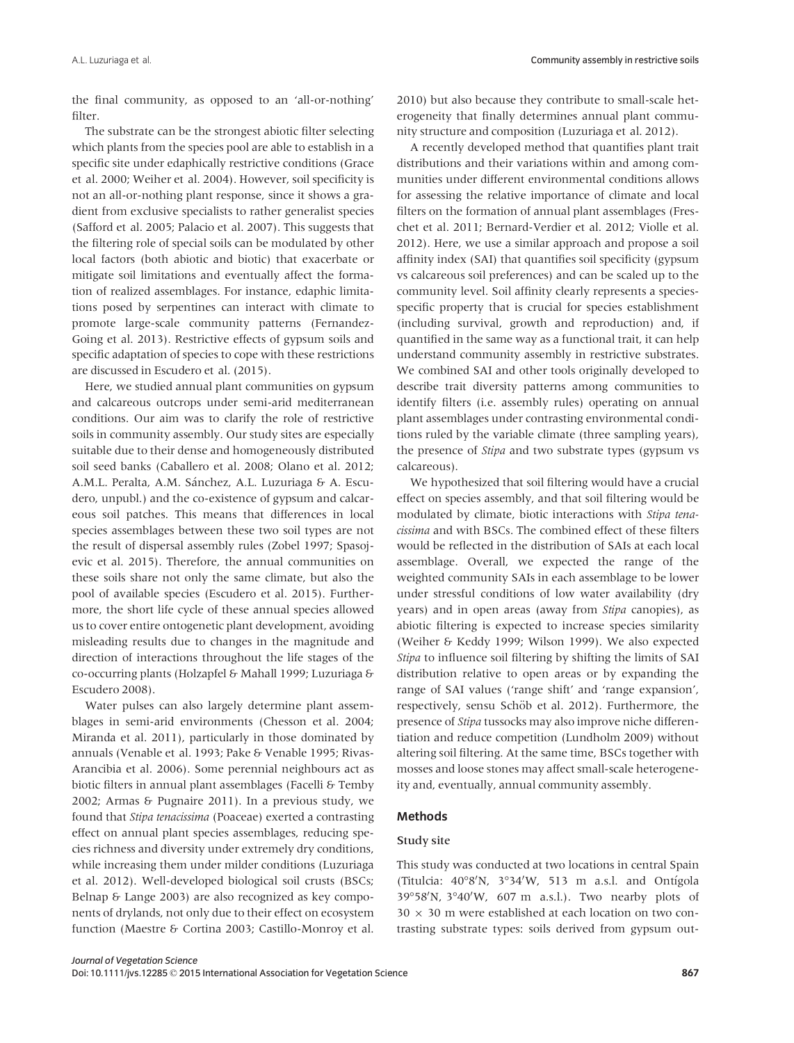the final community, as opposed to an 'all-or-nothing' filter.

The substrate can be the strongest abiotic filter selecting which plants from the species pool are able to establish in a specific site under edaphically restrictive conditions (Grace et al. 2000; Weiher et al. 2004). However, soil specificity is not an all-or-nothing plant response, since it shows a gradient from exclusive specialists to rather generalist species (Safford et al. 2005; Palacio et al. 2007). This suggests that the filtering role of special soils can be modulated by other local factors (both abiotic and biotic) that exacerbate or mitigate soil limitations and eventually affect the formation of realized assemblages. For instance, edaphic limitations posed by serpentines can interact with climate to promote large-scale community patterns (Fernandez-Going et al. 2013). Restrictive effects of gypsum soils and specific adaptation of species to cope with these restrictions are discussed in Escudero et al. (2015).

Here, we studied annual plant communities on gypsum and calcareous outcrops under semi-arid mediterranean conditions. Our aim was to clarify the role of restrictive soils in community assembly. Our study sites are especially suitable due to their dense and homogeneously distributed soil seed banks (Caballero et al. 2008; Olano et al. 2012; A.M.L. Peralta, A.M. Sánchez, A.L. Luzuriaga & A. Escudero, unpubl.) and the co-existence of gypsum and calcareous soil patches. This means that differences in local species assemblages between these two soil types are not the result of dispersal assembly rules (Zobel 1997; Spasojevic et al. 2015). Therefore, the annual communities on these soils share not only the same climate, but also the pool of available species (Escudero et al. 2015). Furthermore, the short life cycle of these annual species allowed us to cover entire ontogenetic plant development, avoiding misleading results due to changes in the magnitude and direction of interactions throughout the life stages of the co-occurring plants (Holzapfel & Mahall 1999; Luzuriaga & Escudero 2008).

Water pulses can also largely determine plant assemblages in semi-arid environments (Chesson et al. 2004; Miranda et al. 2011), particularly in those dominated by annuals (Venable et al. 1993; Pake & Venable 1995; Rivas-Arancibia et al. 2006). Some perennial neighbours act as biotic filters in annual plant assemblages (Facelli & Temby 2002; Armas & Pugnaire 2011). In a previous study, we found that Stipa tenacissima (Poaceae) exerted a contrasting effect on annual plant species assemblages, reducing species richness and diversity under extremely dry conditions, while increasing them under milder conditions (Luzuriaga et al. 2012). Well-developed biological soil crusts (BSCs; Belnap & Lange 2003) are also recognized as key components of drylands, not only due to their effect on ecosystem function (Maestre & Cortina 2003; Castillo-Monroy et al.

2010) but also because they contribute to small-scale heterogeneity that finally determines annual plant community structure and composition (Luzuriaga et al. 2012).

A recently developed method that quantifies plant trait distributions and their variations within and among communities under different environmental conditions allows for assessing the relative importance of climate and local filters on the formation of annual plant assemblages (Freschet et al. 2011; Bernard-Verdier et al. 2012; Violle et al. 2012). Here, we use a similar approach and propose a soil affinity index (SAI) that quantifies soil specificity (gypsum vs calcareous soil preferences) and can be scaled up to the community level. Soil affinity clearly represents a speciesspecific property that is crucial for species establishment (including survival, growth and reproduction) and, if quantified in the same way as a functional trait, it can help understand community assembly in restrictive substrates. We combined SAI and other tools originally developed to describe trait diversity patterns among communities to identify filters (i.e. assembly rules) operating on annual plant assemblages under contrasting environmental conditions ruled by the variable climate (three sampling years), the presence of Stipa and two substrate types (gypsum vs calcareous).

We hypothesized that soil filtering would have a crucial effect on species assembly, and that soil filtering would be modulated by climate, biotic interactions with Stipa tenacissima and with BSCs. The combined effect of these filters would be reflected in the distribution of SAIs at each local assemblage. Overall, we expected the range of the weighted community SAIs in each assemblage to be lower under stressful conditions of low water availability (dry years) and in open areas (away from Stipa canopies), as abiotic filtering is expected to increase species similarity (Weiher & Keddy 1999; Wilson 1999). We also expected Stipa to influence soil filtering by shifting the limits of SAI distribution relative to open areas or by expanding the range of SAI values ('range shift' and 'range expansion', respectively, sensu Schöb et al. 2012). Furthermore, the presence of Stipa tussocks may also improve niche differentiation and reduce competition (Lundholm 2009) without altering soil filtering. At the same time, BSCs together with mosses and loose stones may affect small-scale heterogeneity and, eventually, annual community assembly.

# Methods

# Study site

This study was conducted at two locations in central Spain (Titulcia: 40°8'N, 3°34'W, 513 m a.s.l. and Ontígola 39°58'N, 3°40'W, 607 m a.s.l.). Two nearby plots of  $30 \times 30$  m were established at each location on two contrasting substrate types: soils derived from gypsum out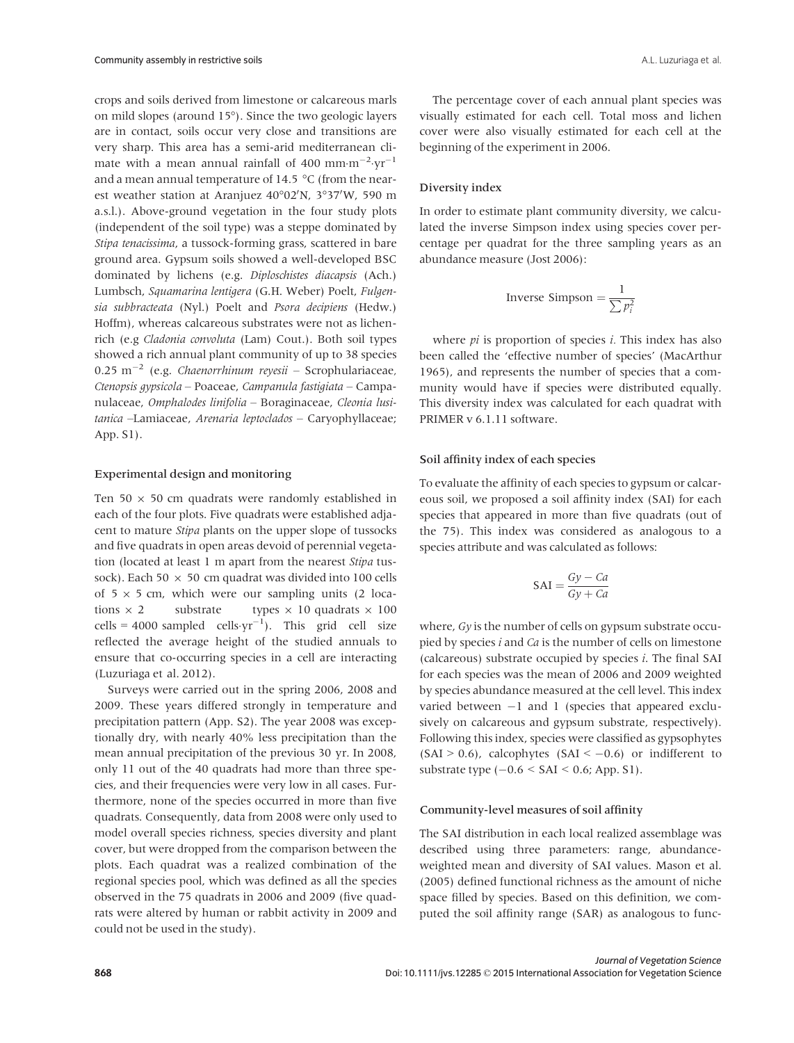crops and soils derived from limestone or calcareous marls on mild slopes (around 15°). Since the two geologic layers are in contact, soils occur very close and transitions are very sharp. This area has a semi-arid mediterranean climate with a mean annual rainfall of 400 mm·m<sup>-2</sup>·yr<sup>-1</sup> and a mean annual temperature of 14.5 °C (from the nearest weather station at Aranjuez  $40^{\circ}02'$ N,  $3^{\circ}37'$ W, 590 m a.s.l.). Above-ground vegetation in the four study plots (independent of the soil type) was a steppe dominated by Stipa tenacissima, a tussock-forming grass, scattered in bare ground area. Gypsum soils showed a well-developed BSC dominated by lichens (e.g. Diploschistes diacapsis (Ach.) Lumbsch, Squamarina lentigera (G.H. Weber) Poelt, Fulgensia subbracteata (Nyl.) Poelt and Psora decipiens (Hedw.) Hoffm), whereas calcareous substrates were not as lichenrich (e.g Cladonia convoluta (Lam) Cout.). Both soil types showed a rich annual plant community of up to 38 species 0.25 m<sup> $-2$ </sup> (e.g. *Chaenorrhinum reyesii* – Scrophulariaceae, Ctenopsis gypsicola – Poaceae, Campanula fastigiata – Campanulaceae, Omphalodes linifolia – Boraginaceae, Cleonia lusitanica –Lamiaceae, Arenaria leptoclados – Caryophyllaceae; App. S1).

#### Experimental design and monitoring

Ten 50  $\times$  50 cm quadrats were randomly established in each of the four plots. Five quadrats were established adjacent to mature Stipa plants on the upper slope of tussocks and five quadrats in open areas devoid of perennial vegetation (located at least 1 m apart from the nearest Stipa tussock). Each 50  $\times$  50 cm quadrat was divided into 100 cells of  $5 \times 5$  cm, which were our sampling units (2 locations  $\times$  2 substrate types  $\times$  10 quadrats  $\times$  100 cells = 4000 sampled cells- $yr^{-1}$ ). This grid cell size reflected the average height of the studied annuals to ensure that co-occurring species in a cell are interacting (Luzuriaga et al. 2012).

Surveys were carried out in the spring 2006, 2008 and 2009. These years differed strongly in temperature and precipitation pattern (App. S2). The year 2008 was exceptionally dry, with nearly 40% less precipitation than the mean annual precipitation of the previous 30 yr. In 2008, only 11 out of the 40 quadrats had more than three species, and their frequencies were very low in all cases. Furthermore, none of the species occurred in more than five quadrats. Consequently, data from 2008 were only used to model overall species richness, species diversity and plant cover, but were dropped from the comparison between the plots. Each quadrat was a realized combination of the regional species pool, which was defined as all the species observed in the 75 quadrats in 2006 and 2009 (five quadrats were altered by human or rabbit activity in 2009 and could not be used in the study).

The percentage cover of each annual plant species was visually estimated for each cell. Total moss and lichen cover were also visually estimated for each cell at the beginning of the experiment in 2006.

## Diversity index

In order to estimate plant community diversity, we calculated the inverse Simpson index using species cover percentage per quadrat for the three sampling years as an abundance measure (Jost 2006):

Inverse Simpson = 
$$
\frac{1}{\sum p_i^2}
$$

where  $pi$  is proportion of species  $i$ . This index has also been called the 'effective number of species' (MacArthur 1965), and represents the number of species that a community would have if species were distributed equally. This diversity index was calculated for each quadrat with PRIMER v 6.1.11 software.

#### Soil affinity index of each species

To evaluate the affinity of each species to gypsum or calcareous soil, we proposed a soil affinity index (SAI) for each species that appeared in more than five quadrats (out of the 75). This index was considered as analogous to a species attribute and was calculated as follows:

$$
SAI = \frac{Gy - Ca}{Gy + Ca}
$$

where, Gy is the number of cells on gypsum substrate occupied by species i and Ca is the number of cells on limestone (calcareous) substrate occupied by species i. The final SAI for each species was the mean of 2006 and 2009 weighted by species abundance measured at the cell level. This index varied between  $-1$  and 1 (species that appeared exclusively on calcareous and gypsum substrate, respectively). Following this index, species were classified as gypsophytes  $(SAI > 0.6)$ , calcophytes  $(SAI < -0.6)$  or indifferent to substrate type  $(-0.6 \leq SAI \leq 0.6;$  App. S1).

#### Community-level measures of soil affinity

The SAI distribution in each local realized assemblage was described using three parameters: range, abundanceweighted mean and diversity of SAI values. Mason et al. (2005) defined functional richness as the amount of niche space filled by species. Based on this definition, we computed the soil affinity range (SAR) as analogous to func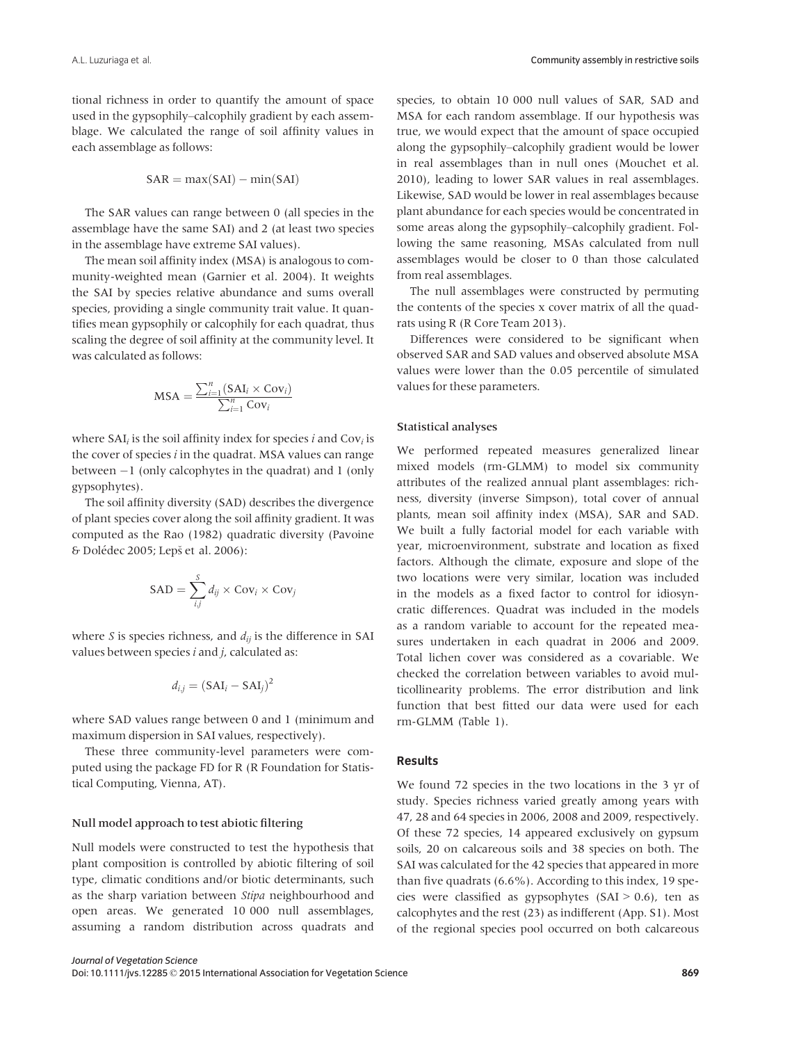tional richness in order to quantify the amount of space used in the gypsophily–calcophily gradient by each assemblage. We calculated the range of soil affinity values in each assemblage as follows:

$$
SAR = max(SAI) - min(SAI)
$$

The SAR values can range between 0 (all species in the assemblage have the same SAI) and 2 (at least two species in the assemblage have extreme SAI values).

The mean soil affinity index (MSA) is analogous to community-weighted mean (Garnier et al. 2004). It weights the SAI by species relative abundance and sums overall species, providing a single community trait value. It quantifies mean gypsophily or calcophily for each quadrat, thus scaling the degree of soil affinity at the community level. It was calculated as follows:

$$
MSA = \frac{\sum_{i=1}^{n} (SAI_i \times Cov_i)}{\sum_{i=1}^{n} Cov_i}
$$

where  $SAI_i$  is the soil affinity index for species *i* and  $Cov_i$  is the cover of species  $i$  in the quadrat. MSA values can range between  $-1$  (only calcophytes in the quadrat) and 1 (only gypsophytes).

The soil affinity diversity (SAD) describes the divergence of plant species cover along the soil affinity gradient. It was computed as the Rao (1982) quadratic diversity (Pavoine & Doledec 2005; Leps et al. 2006):

$$
SAD = \sum_{i,j}^{S} d_{ij} \times \text{Cov}_i \times \text{Cov}_j
$$

where S is species richness, and  $d_{ij}$  is the difference in SAI values between species i and j, calculated as:

$$
d_{i,j} = (SAI_i - SAI_j)^2
$$

where SAD values range between 0 and 1 (minimum and maximum dispersion in SAI values, respectively).

These three community-level parameters were computed using the package FD for R (R Foundation for Statistical Computing, Vienna, AT).

#### Null model approach to test abiotic filtering

Null models were constructed to test the hypothesis that plant composition is controlled by abiotic filtering of soil type, climatic conditions and/or biotic determinants, such as the sharp variation between Stipa neighbourhood and open areas. We generated 10 000 null assemblages, assuming a random distribution across quadrats and species, to obtain 10 000 null values of SAR, SAD and MSA for each random assemblage. If our hypothesis was true, we would expect that the amount of space occupied along the gypsophily–calcophily gradient would be lower in real assemblages than in null ones (Mouchet et al. 2010), leading to lower SAR values in real assemblages. Likewise, SAD would be lower in real assemblages because plant abundance for each species would be concentrated in some areas along the gypsophily–calcophily gradient. Following the same reasoning, MSAs calculated from null assemblages would be closer to 0 than those calculated from real assemblages.

The null assemblages were constructed by permuting the contents of the species x cover matrix of all the quadrats using R (R Core Team 2013).

Differences were considered to be significant when observed SAR and SAD values and observed absolute MSA values were lower than the 0.05 percentile of simulated values for these parameters.

## Statistical analyses

We performed repeated measures generalized linear mixed models (rm-GLMM) to model six community attributes of the realized annual plant assemblages: richness, diversity (inverse Simpson), total cover of annual plants, mean soil affinity index (MSA), SAR and SAD. We built a fully factorial model for each variable with year, microenvironment, substrate and location as fixed factors. Although the climate, exposure and slope of the two locations were very similar, location was included in the models as a fixed factor to control for idiosyncratic differences. Quadrat was included in the models as a random variable to account for the repeated measures undertaken in each quadrat in 2006 and 2009. Total lichen cover was considered as a covariable. We checked the correlation between variables to avoid multicollinearity problems. The error distribution and link function that best fitted our data were used for each rm-GLMM (Table 1).

## Results

We found 72 species in the two locations in the 3 yr of study. Species richness varied greatly among years with 47, 28 and 64 species in 2006, 2008 and 2009, respectively. Of these 72 species, 14 appeared exclusively on gypsum soils, 20 on calcareous soils and 38 species on both. The SAI was calculated for the 42 species that appeared in more than five quadrats (6.6%). According to this index, 19 species were classified as gypsophytes  $(SAI > 0.6)$ , ten as calcophytes and the rest (23) as indifferent (App. S1). Most of the regional species pool occurred on both calcareous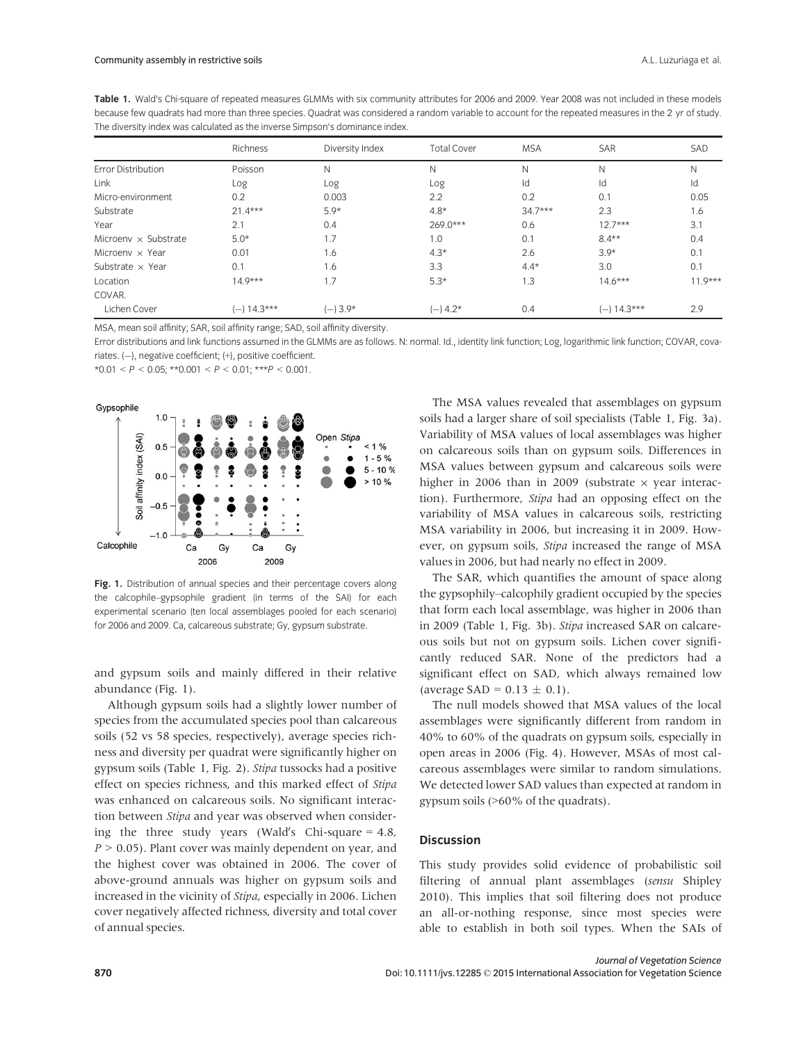Table 1. Wald's Chi-square of repeated measures GLMMs with six community attributes for 2006 and 2009. Year 2008 was not included in these models because few quadrats had more than three species. Quadrat was considered a random variable to account for the repeated measures in the 2 yr of study. The diversity index was calculated as the inverse Simpson's dominance index.

|                             | Richness           | Diversity Index | <b>Total Cover</b> | <b>MSA</b> | <b>SAR</b>    | SAD       |
|-----------------------------|--------------------|-----------------|--------------------|------------|---------------|-----------|
| Error Distribution          | Poisson            | N               | Ν                  | N          | N             | N         |
| Link                        | Log                | Log             | Log                | Id         | Id            | Id        |
| Micro-environment           | 0.2                | 0.003           | 2.2                | 0.2        | 0.1           | 0.05      |
| Substrate                   | $21.4***$          | $5.9*$          | $4.8*$             | $34.7***$  | 2.3           | 1.6       |
| Year                        | 2.1                | 0.4             | 269.0***           | 0.6        | $12.7***$     | 3.1       |
| Microeny $\times$ Substrate | $5.0*$             | 1.7             | 1.0                | 0.1        | $8.4***$      | 0.4       |
| Microeny $\times$ Year      | 0.01               | 1.6             | $4.3*$             | 2.6        | $3.9*$        | 0.1       |
| Substrate $\times$ Year     | 0.1                | 1.6             | 3.3                | $4.4*$     | 3.0           | 0.1       |
| Location                    | $14.9***$          | 1.7             | $5.3*$             | 1.3        | $14.6***$     | $11.9***$ |
| COVAR.                      |                    |                 |                    |            |               |           |
| Lichen Cover                | $14.3***$<br>$(-)$ | $(-)3.9*$       | $(-)$ 4.2*         | 0.4        | $(-) 14.3***$ | 2.9       |

MSA, mean soil affinity; SAR, soil affinity range; SAD, soil affinity diversity.

Error distributions and link functions assumed in the GLMMs are as follows. N: normal. Id., identity link function; Log, logarithmic link function; COVAR, covariates.  $(-)$ , negative coefficient;  $(+)$ , positive coefficient.

\*0.01 <  $P$  < 0.05; \*\*0.001 <  $P$  < 0.01; \*\*\* $P$  < 0.001.



Fig. 1. Distribution of annual species and their percentage covers along the calcophile–gypsophile gradient (in terms of the SAI) for each experimental scenario (ten local assemblages pooled for each scenario) for 2006 and 2009. Ca, calcareous substrate; Gy, gypsum substrate.

and gypsum soils and mainly differed in their relative abundance (Fig. 1).

Although gypsum soils had a slightly lower number of species from the accumulated species pool than calcareous soils (52 vs 58 species, respectively), average species richness and diversity per quadrat were significantly higher on gypsum soils (Table 1, Fig. 2). Stipa tussocks had a positive effect on species richness, and this marked effect of Stipa was enhanced on calcareous soils. No significant interaction between Stipa and year was observed when considering the three study years (Wald's Chi-square  $= 4.8$ ,  $P > 0.05$ ). Plant cover was mainly dependent on year, and the highest cover was obtained in 2006. The cover of above-ground annuals was higher on gypsum soils and increased in the vicinity of Stipa, especially in 2006. Lichen cover negatively affected richness, diversity and total cover of annual species.

The MSA values revealed that assemblages on gypsum soils had a larger share of soil specialists (Table 1, Fig. 3a). Variability of MSA values of local assemblages was higher on calcareous soils than on gypsum soils. Differences in MSA values between gypsum and calcareous soils were higher in 2006 than in 2009 (substrate  $\times$  year interaction). Furthermore, Stipa had an opposing effect on the variability of MSA values in calcareous soils, restricting MSA variability in 2006, but increasing it in 2009. However, on gypsum soils, Stipa increased the range of MSA values in 2006, but had nearly no effect in 2009.

The SAR, which quantifies the amount of space along the gypsophily–calcophily gradient occupied by the species that form each local assemblage, was higher in 2006 than in 2009 (Table 1, Fig. 3b). Stipa increased SAR on calcareous soils but not on gypsum soils. Lichen cover significantly reduced SAR. None of the predictors had a significant effect on SAD, which always remained low (average SAD =  $0.13 \pm 0.1$ ).

The null models showed that MSA values of the local assemblages were significantly different from random in 40% to 60% of the quadrats on gypsum soils, especially in open areas in 2006 (Fig. 4). However, MSAs of most calcareous assemblages were similar to random simulations. We detected lower SAD values than expected at random in gypsum soils (>60% of the quadrats).

## Discussion

This study provides solid evidence of probabilistic soil filtering of annual plant assemblages (sensu Shipley 2010). This implies that soil filtering does not produce an all-or-nothing response, since most species were able to establish in both soil types. When the SAIs of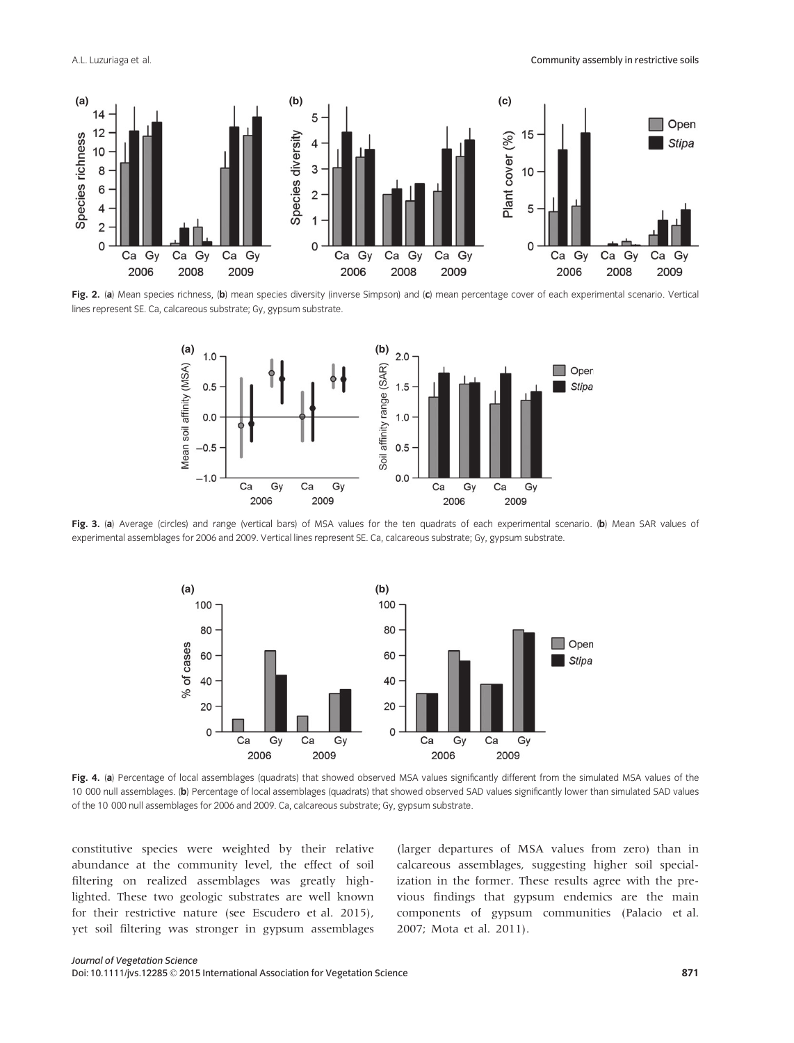

Fig. 2. (a) Mean species richness, (b) mean species diversity (inverse Simpson) and (c) mean percentage cover of each experimental scenario. Vertical lines represent SE. Ca, calcareous substrate; Gy, gypsum substrate.



Fig. 3. (a) Average (circles) and range (vertical bars) of MSA values for the ten quadrats of each experimental scenario. (b) Mean SAR values of experimental assemblages for 2006 and 2009. Vertical lines represent SE. Ca, calcareous substrate; Gy, gypsum substrate.



Fig. 4. (a) Percentage of local assemblages (quadrats) that showed observed MSA values significantly different from the simulated MSA values of the 10 000 null assemblages. (b) Percentage of local assemblages (quadrats) that showed observed SAD values significantly lower than simulated SAD values of the 10 000 null assemblages for 2006 and 2009. Ca, calcareous substrate; Gy, gypsum substrate.

constitutive species were weighted by their relative abundance at the community level, the effect of soil filtering on realized assemblages was greatly highlighted. These two geologic substrates are well known for their restrictive nature (see Escudero et al. 2015), yet soil filtering was stronger in gypsum assemblages (larger departures of MSA values from zero) than in calcareous assemblages, suggesting higher soil specialization in the former. These results agree with the previous findings that gypsum endemics are the main components of gypsum communities (Palacio et al. 2007; Mota et al. 2011).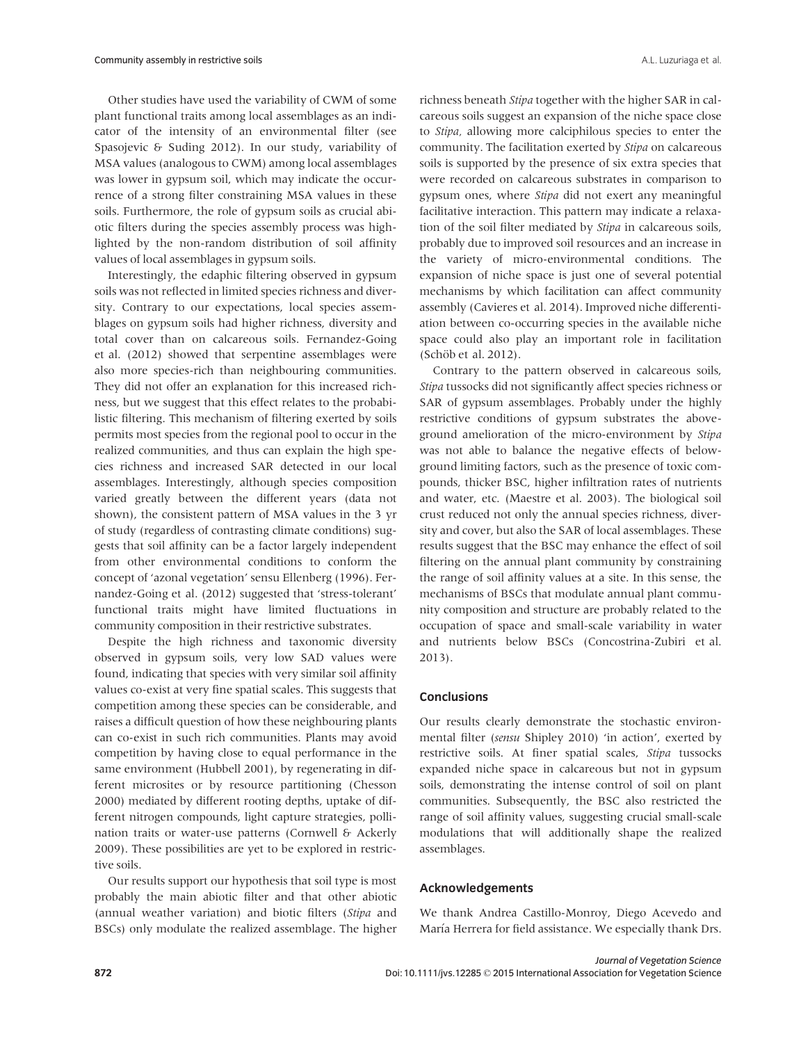Other studies have used the variability of CWM of some plant functional traits among local assemblages as an indicator of the intensity of an environmental filter (see Spasojevic & Suding 2012). In our study, variability of MSA values (analogous to CWM) among local assemblages was lower in gypsum soil, which may indicate the occurrence of a strong filter constraining MSA values in these soils. Furthermore, the role of gypsum soils as crucial abiotic filters during the species assembly process was highlighted by the non-random distribution of soil affinity values of local assemblages in gypsum soils.

Interestingly, the edaphic filtering observed in gypsum soils was not reflected in limited species richness and diversity. Contrary to our expectations, local species assemblages on gypsum soils had higher richness, diversity and total cover than on calcareous soils. Fernandez-Going et al. (2012) showed that serpentine assemblages were also more species-rich than neighbouring communities. They did not offer an explanation for this increased richness, but we suggest that this effect relates to the probabilistic filtering. This mechanism of filtering exerted by soils permits most species from the regional pool to occur in the realized communities, and thus can explain the high species richness and increased SAR detected in our local assemblages. Interestingly, although species composition varied greatly between the different years (data not shown), the consistent pattern of MSA values in the 3 yr of study (regardless of contrasting climate conditions) suggests that soil affinity can be a factor largely independent from other environmental conditions to conform the concept of 'azonal vegetation' sensu Ellenberg (1996). Fernandez-Going et al. (2012) suggested that 'stress-tolerant' functional traits might have limited fluctuations in community composition in their restrictive substrates.

Despite the high richness and taxonomic diversity observed in gypsum soils, very low SAD values were found, indicating that species with very similar soil affinity values co-exist at very fine spatial scales. This suggests that competition among these species can be considerable, and raises a difficult question of how these neighbouring plants can co-exist in such rich communities. Plants may avoid competition by having close to equal performance in the same environment (Hubbell 2001), by regenerating in different microsites or by resource partitioning (Chesson 2000) mediated by different rooting depths, uptake of different nitrogen compounds, light capture strategies, pollination traits or water-use patterns (Cornwell & Ackerly 2009). These possibilities are yet to be explored in restrictive soils.

Our results support our hypothesis that soil type is most probably the main abiotic filter and that other abiotic (annual weather variation) and biotic filters (Stipa and BSCs) only modulate the realized assemblage. The higher

richness beneath Stipa together with the higher SAR in calcareous soils suggest an expansion of the niche space close to Stipa, allowing more calciphilous species to enter the community. The facilitation exerted by Stipa on calcareous soils is supported by the presence of six extra species that were recorded on calcareous substrates in comparison to gypsum ones, where Stipa did not exert any meaningful facilitative interaction. This pattern may indicate a relaxation of the soil filter mediated by Stipa in calcareous soils, probably due to improved soil resources and an increase in the variety of micro-environmental conditions. The expansion of niche space is just one of several potential mechanisms by which facilitation can affect community assembly (Cavieres et al. 2014). Improved niche differentiation between co-occurring species in the available niche space could also play an important role in facilitation (Schöb et al. 2012).

Contrary to the pattern observed in calcareous soils, Stipa tussocks did not significantly affect species richness or SAR of gypsum assemblages. Probably under the highly restrictive conditions of gypsum substrates the aboveground amelioration of the micro-environment by Stipa was not able to balance the negative effects of belowground limiting factors, such as the presence of toxic compounds, thicker BSC, higher infiltration rates of nutrients and water, etc. (Maestre et al. 2003). The biological soil crust reduced not only the annual species richness, diversity and cover, but also the SAR of local assemblages. These results suggest that the BSC may enhance the effect of soil filtering on the annual plant community by constraining the range of soil affinity values at a site. In this sense, the mechanisms of BSCs that modulate annual plant community composition and structure are probably related to the occupation of space and small-scale variability in water and nutrients below BSCs (Concostrina-Zubiri et al. 2013).

## **Conclusions**

Our results clearly demonstrate the stochastic environmental filter (sensu Shipley 2010) 'in action', exerted by restrictive soils. At finer spatial scales, Stipa tussocks expanded niche space in calcareous but not in gypsum soils, demonstrating the intense control of soil on plant communities. Subsequently, the BSC also restricted the range of soil affinity values, suggesting crucial small-scale modulations that will additionally shape the realized assemblages.

## Acknowledgements

We thank Andrea Castillo-Monroy, Diego Acevedo and María Herrera for field assistance. We especially thank Drs.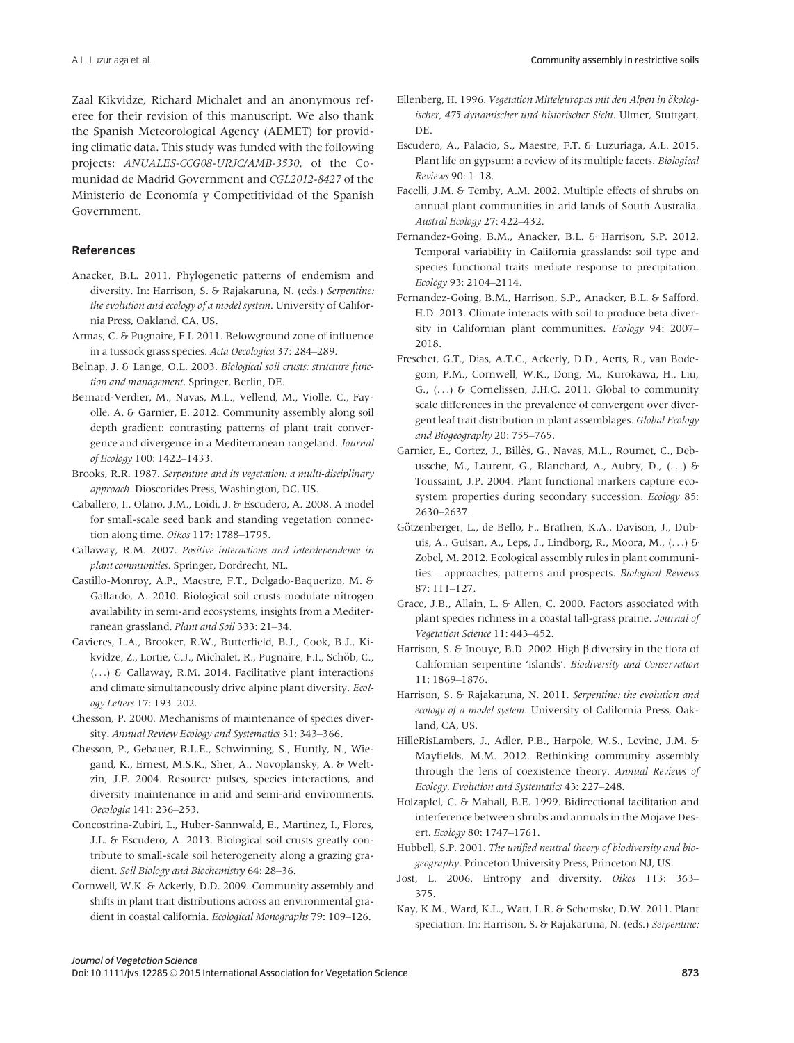Zaal Kikvidze, Richard Michalet and an anonymous referee for their revision of this manuscript. We also thank the Spanish Meteorological Agency (AEMET) for providing climatic data. This study was funded with the following projects: ANUALES-CCG08-URJC/AMB-3530, of the Comunidad de Madrid Government and CGL2012-8427 of the Ministerio de Economía y Competitividad of the Spanish Government.

#### References

- Anacker, B.L. 2011. Phylogenetic patterns of endemism and diversity. In: Harrison, S. & Rajakaruna, N. (eds.) Serpentine: the evolution and ecology of a model system. University of California Press, Oakland, CA, US.
- Armas, C. & Pugnaire, F.I. 2011. Belowground zone of influence in a tussock grass species. Acta Oecologica 37: 284–289.
- Belnap, J. & Lange, O.L. 2003. Biological soil crusts: structure function and management. Springer, Berlin, DE.
- Bernard-Verdier, M., Navas, M.L., Vellend, M., Violle, C., Fayolle, A. & Garnier, E. 2012. Community assembly along soil depth gradient: contrasting patterns of plant trait convergence and divergence in a Mediterranean rangeland. Journal of Ecology 100: 1422–1433.
- Brooks, R.R. 1987. Serpentine and its vegetation: a multi-disciplinary approach. Dioscorides Press, Washington, DC, US.
- Caballero, I., Olano, J.M., Loidi, J. & Escudero, A. 2008. A model for small-scale seed bank and standing vegetation connection along time. Oikos 117: 1788–1795.
- Callaway, R.M. 2007. Positive interactions and interdependence in plant communities. Springer, Dordrecht, NL.
- Castillo-Monroy, A.P., Maestre, F.T., Delgado-Baquerizo, M. & Gallardo, A. 2010. Biological soil crusts modulate nitrogen availability in semi-arid ecosystems, insights from a Mediterranean grassland. Plant and Soil 333: 21–34.
- Cavieres, L.A., Brooker, R.W., Butterfield, B.J., Cook, B.J., Kikvidze, Z., Lortie, C.J., Michalet, R., Pugnaire, F.I., Schöb, C., (...) & Callaway, R.M. 2014. Facilitative plant interactions and climate simultaneously drive alpine plant diversity. Ecology Letters 17: 193–202.
- Chesson, P. 2000. Mechanisms of maintenance of species diversity. Annual Review Ecology and Systematics 31: 343–366.
- Chesson, P., Gebauer, R.L.E., Schwinning, S., Huntly, N., Wiegand, K., Ernest, M.S.K., Sher, A., Novoplansky, A. & Weltzin, J.F. 2004. Resource pulses, species interactions, and diversity maintenance in arid and semi-arid environments. Oecologia 141: 236–253.
- Concostrina-Zubiri, L., Huber-Sannwald, E., Martinez, I., Flores, J.L. & Escudero, A. 2013. Biological soil crusts greatly contribute to small-scale soil heterogeneity along a grazing gradient. Soil Biology and Biochemistry 64: 28–36.
- Cornwell, W.K. & Ackerly, D.D. 2009. Community assembly and shifts in plant trait distributions across an environmental gradient in coastal california. Ecological Monographs 79: 109–126.
- Ellenberg, H. 1996. Vegetation Mitteleuropas mit den Alpen in ökologischer, 475 dynamischer und historischer Sicht. Ulmer, Stuttgart, DE.
- Escudero, A., Palacio, S., Maestre, F.T. & Luzuriaga, A.L. 2015. Plant life on gypsum: a review of its multiple facets. Biological Reviews 90: 1–18.
- Facelli, J.M. & Temby, A.M. 2002. Multiple effects of shrubs on annual plant communities in arid lands of South Australia. Austral Ecology 27: 422–432.
- Fernandez-Going, B.M., Anacker, B.L. & Harrison, S.P. 2012. Temporal variability in California grasslands: soil type and species functional traits mediate response to precipitation. Ecology 93: 2104–2114.
- Fernandez-Going, B.M., Harrison, S.P., Anacker, B.L. & Safford, H.D. 2013. Climate interacts with soil to produce beta diversity in Californian plant communities. Ecology 94: 2007– 2018.
- Freschet, G.T., Dias, A.T.C., Ackerly, D.D., Aerts, R., van Bodegom, P.M., Cornwell, W.K., Dong, M., Kurokawa, H., Liu, G., (...) & Cornelissen, J.H.C. 2011. Global to community scale differences in the prevalence of convergent over divergent leaf trait distribution in plant assemblages. Global Ecology and Biogeography 20: 755–765.
- Garnier, E., Cortez, J., Billès, G., Navas, M.L., Roumet, C., Debussche, M., Laurent, G., Blanchard, A., Aubry, D., (...) & Toussaint, J.P. 2004. Plant functional markers capture ecosystem properties during secondary succession. Ecology 85: 2630–2637.
- Götzenberger, L., de Bello, F., Brathen, K.A., Davison, J., Dubuis, A., Guisan, A., Leps, J., Lindborg, R., Moora, M., (...) & Zobel, M. 2012. Ecological assembly rules in plant communities – approaches, patterns and prospects. Biological Reviews 87: 111–127.
- Grace, J.B., Allain, L. & Allen, C. 2000. Factors associated with plant species richness in a coastal tall-grass prairie. Journal of Vegetation Science 11: 443–452.
- Harrison, S. & Inouye, B.D. 2002. High  $\beta$  diversity in the flora of Californian serpentine 'islands'. Biodiversity and Conservation 11: 1869–1876.
- Harrison, S. & Rajakaruna, N. 2011. Serpentine: the evolution and ecology of a model system. University of California Press, Oakland, CA, US.
- HilleRisLambers, J., Adler, P.B., Harpole, W.S., Levine, J.M. & Mayfields, M.M. 2012. Rethinking community assembly through the lens of coexistence theory. Annual Reviews of Ecology, Evolution and Systematics 43: 227–248.
- Holzapfel, C. & Mahall, B.E. 1999. Bidirectional facilitation and interference between shrubs and annuals in the Mojave Desert. Ecology 80: 1747–1761.
- Hubbell, S.P. 2001. The unified neutral theory of biodiversity and biogeography. Princeton University Press, Princeton NJ, US.
- Jost, L. 2006. Entropy and diversity. Oikos 113: 363– 375.
- Kay, K.M., Ward, K.L., Watt, L.R. & Schemske, D.W. 2011. Plant speciation. In: Harrison, S. & Rajakaruna, N. (eds.) Serpentine: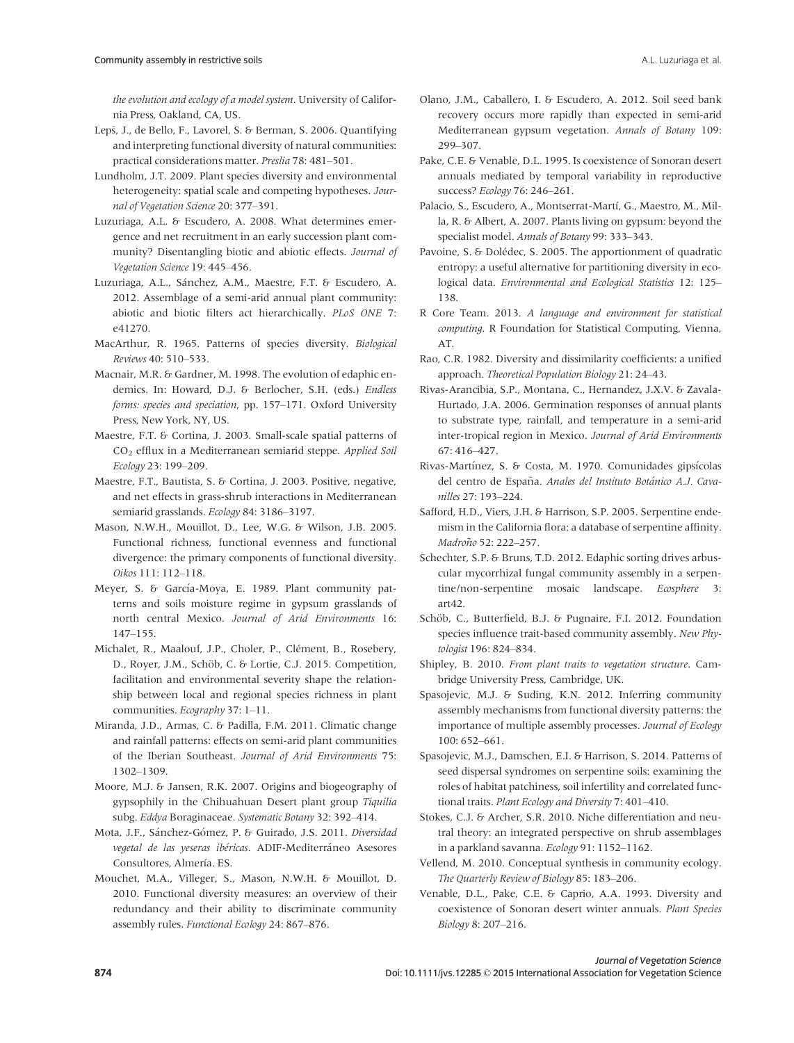the evolution and ecology of a model system. University of California Press, Oakland, CA, US.

- Leps, J., de Bello, F., Lavorel, S. & Berman, S. 2006. Quantifying and interpreting functional diversity of natural communities: practical considerations matter. Preslia 78: 481–501.
- Lundholm, J.T. 2009. Plant species diversity and environmental heterogeneity: spatial scale and competing hypotheses. Journal of Vegetation Science 20: 377–391.
- Luzuriaga, A.L. & Escudero, A. 2008. What determines emergence and net recruitment in an early succession plant community? Disentangling biotic and abiotic effects. Journal of Vegetation Science 19: 445–456.
- Luzuriaga, A.L., Sánchez, A.M., Maestre, F.T. & Escudero, A. 2012. Assemblage of a semi-arid annual plant community: abiotic and biotic filters act hierarchically. PLoS ONE 7: e41270.
- MacArthur, R. 1965. Patterns of species diversity. Biological Reviews 40: 510–533.
- Macnair, M.R. & Gardner, M. 1998. The evolution of edaphic endemics. In: Howard, D.J. & Berlocher, S.H. (eds.) Endless forms: species and speciation, pp. 157-171. Oxford University Press, New York, NY, US.
- Maestre, F.T. & Cortina, J. 2003. Small-scale spatial patterns of CO2 efflux in a Mediterranean semiarid steppe. Applied Soil Ecology 23: 199–209.
- Maestre, F.T., Bautista, S. & Cortina, J. 2003. Positive, negative, and net effects in grass-shrub interactions in Mediterranean semiarid grasslands. Ecology 84: 3186–3197.
- Mason, N.W.H., Mouillot, D., Lee, W.G. & Wilson, J.B. 2005. Functional richness, functional evenness and functional divergence: the primary components of functional diversity. Oikos 111: 112–118.
- Meyer, S. & García-Moya, E. 1989. Plant community patterns and soils moisture regime in gypsum grasslands of north central Mexico. Journal of Arid Environments 16: 147–155.
- Michalet, R., Maalouf, J.P., Choler, P., Clément, B., Rosebery, D., Royer, J.M., Schöb, C. & Lortie, C.J. 2015. Competition, facilitation and environmental severity shape the relationship between local and regional species richness in plant communities. Ecography 37: 1–11.
- Miranda, J.D., Armas, C. & Padilla, F.M. 2011. Climatic change and rainfall patterns: effects on semi-arid plant communities of the Iberian Southeast. Journal of Arid Environments 75: 1302–1309.
- Moore, M.J. & Jansen, R.K. 2007. Origins and biogeography of gypsophily in the Chihuahuan Desert plant group Tiquilia subg. Eddya Boraginaceae. Systematic Botany 32: 392–414.
- Mota, J.F., Sánchez-Gómez, P. & Guirado, J.S. 2011. Diversidad vegetal de las yeseras ibéricas. ADIF-Mediterráneo Asesores Consultores, Almería. ES.
- Mouchet, M.A., Villeger, S., Mason, N.W.H. & Mouillot, D. 2010. Functional diversity measures: an overview of their redundancy and their ability to discriminate community assembly rules. Functional Ecology 24: 867–876.
- Olano, J.M., Caballero, I. & Escudero, A. 2012. Soil seed bank recovery occurs more rapidly than expected in semi-arid Mediterranean gypsum vegetation. Annals of Botany 109: 299–307.
- Pake, C.E. & Venable, D.L. 1995. Is coexistence of Sonoran desert annuals mediated by temporal variability in reproductive success? Ecology 76: 246-261.
- Palacio, S., Escudero, A., Montserrat-Martí, G., Maestro, M., Milla, R. & Albert, A. 2007. Plants living on gypsum: beyond the specialist model. Annals of Botany 99: 333–343.
- Pavoine, S. & Dolédec, S. 2005. The apportionment of quadratic entropy: a useful alternative for partitioning diversity in ecological data. Environmental and Ecological Statistics 12: 125-138.
- R Core Team. 2013. A language and environment for statistical computing. R Foundation for Statistical Computing, Vienna, AT.
- Rao, C.R. 1982. Diversity and dissimilarity coefficients: a unified approach. Theoretical Population Biology 21: 24–43.
- Rivas-Arancibia, S.P., Montana, C., Hernandez, J.X.V. & Zavala-Hurtado, J.A. 2006. Germination responses of annual plants to substrate type, rainfall, and temperature in a semi-arid inter-tropical region in Mexico. Journal of Arid Environments 67: 416–427.
- Rivas-Martınez, S. & Costa, M. 1970. Comunidades gipsıcolas del centro de España. Anales del Instituto Botánico A.J. Cavanilles 27: 193–224.
- Safford, H.D., Viers, J.H. & Harrison, S.P. 2005. Serpentine endemism in the California flora: a database of serpentine affinity. Madroño 52: 222-257.
- Schechter, S.P. & Bruns, T.D. 2012. Edaphic sorting drives arbuscular mycorrhizal fungal community assembly in a serpentine/non-serpentine mosaic landscape. Ecosphere 3: art42.
- Schöb, C., Butterfield, B.J. & Pugnaire, F.I. 2012. Foundation species influence trait-based community assembly. New Phytologist 196: 824–834.
- Shipley, B. 2010. From plant traits to vegetation structure. Cambridge University Press, Cambridge, UK.
- Spasojevic, M.J. & Suding, K.N. 2012. Inferring community assembly mechanisms from functional diversity patterns: the importance of multiple assembly processes. Journal of Ecology 100: 652–661.
- Spasojevic, M.J., Damschen, E.I. & Harrison, S. 2014. Patterns of seed dispersal syndromes on serpentine soils: examining the roles of habitat patchiness, soil infertility and correlated functional traits. Plant Ecology and Diversity 7: 401–410.
- Stokes, C.J. & Archer, S.R. 2010. Niche differentiation and neutral theory: an integrated perspective on shrub assemblages in a parkland savanna. Ecology 91: 1152–1162.
- Vellend, M. 2010. Conceptual synthesis in community ecology. The Quarterly Review of Biology 85: 183–206.
- Venable, D.L., Pake, C.E. & Caprio, A.A. 1993. Diversity and coexistence of Sonoran desert winter annuals. Plant Species Biology 8: 207–216.